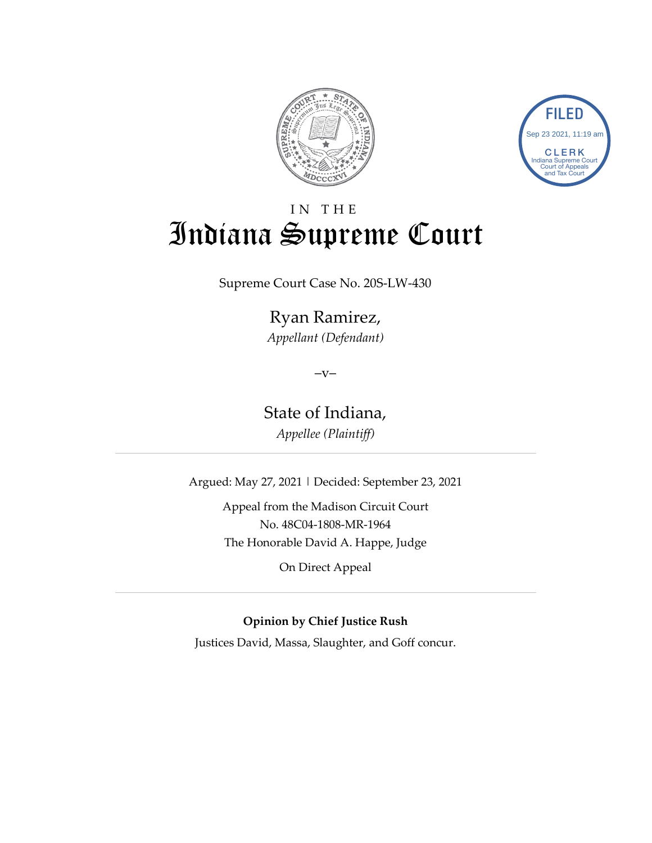



# IN THE Indiana Supreme Court

Supreme Court Case No. 20S-LW-430

Ryan Ramirez, *Appellant (Defendant)*

 $-V-$ 

State of Indiana, *Appellee (Plaintiff)*

Argued: May 27, 2021 | Decided: September 23, 2021

Appeal from the Madison Circuit Court No. 48C04-1808-MR-1964 The Honorable David A. Happe, Judge

On Direct Appeal

**Opinion by Chief Justice Rush**

Justices David, Massa, Slaughter, and Goff concur.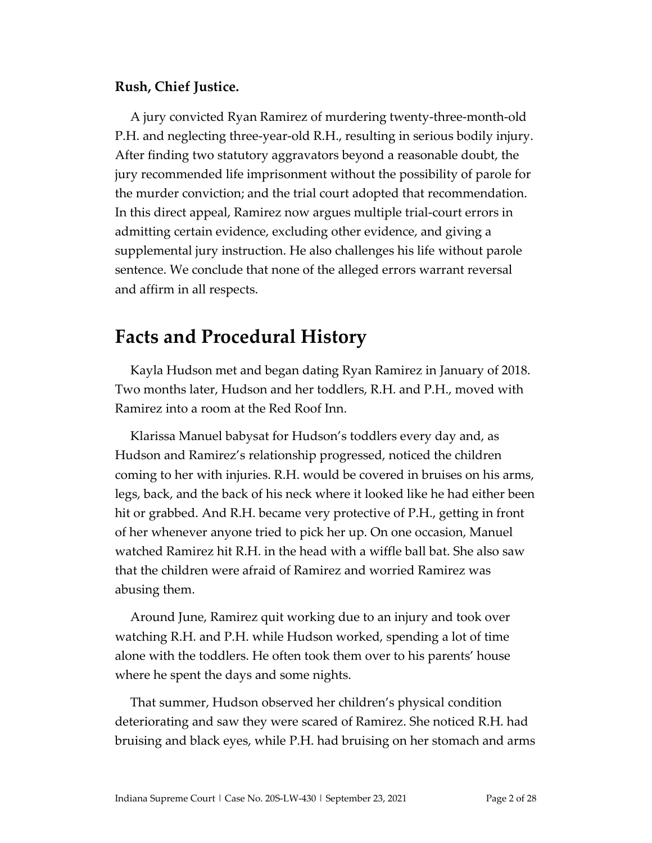#### **Rush, Chief Justice.**

A jury convicted Ryan Ramirez of murdering twenty-three-month-old P.H. and neglecting three-year-old R.H., resulting in serious bodily injury. After finding two statutory aggravators beyond a reasonable doubt, the jury recommended life imprisonment without the possibility of parole for the murder conviction; and the trial court adopted that recommendation. In this direct appeal, Ramirez now argues multiple trial-court errors in admitting certain evidence, excluding other evidence, and giving a supplemental jury instruction. He also challenges his life without parole sentence. We conclude that none of the alleged errors warrant reversal and affirm in all respects.

## **Facts and Procedural History**

Kayla Hudson met and began dating Ryan Ramirez in January of 2018. Two months later, Hudson and her toddlers, R.H. and P.H., moved with Ramirez into a room at the Red Roof Inn.

Klarissa Manuel babysat for Hudson's toddlers every day and, as Hudson and Ramirez's relationship progressed, noticed the children coming to her with injuries. R.H. would be covered in bruises on his arms, legs, back, and the back of his neck where it looked like he had either been hit or grabbed. And R.H. became very protective of P.H., getting in front of her whenever anyone tried to pick her up. On one occasion, Manuel watched Ramirez hit R.H. in the head with a wiffle ball bat. She also saw that the children were afraid of Ramirez and worried Ramirez was abusing them.

Around June, Ramirez quit working due to an injury and took over watching R.H. and P.H. while Hudson worked, spending a lot of time alone with the toddlers. He often took them over to his parents' house where he spent the days and some nights.

That summer, Hudson observed her children's physical condition deteriorating and saw they were scared of Ramirez. She noticed R.H. had bruising and black eyes, while P.H. had bruising on her stomach and arms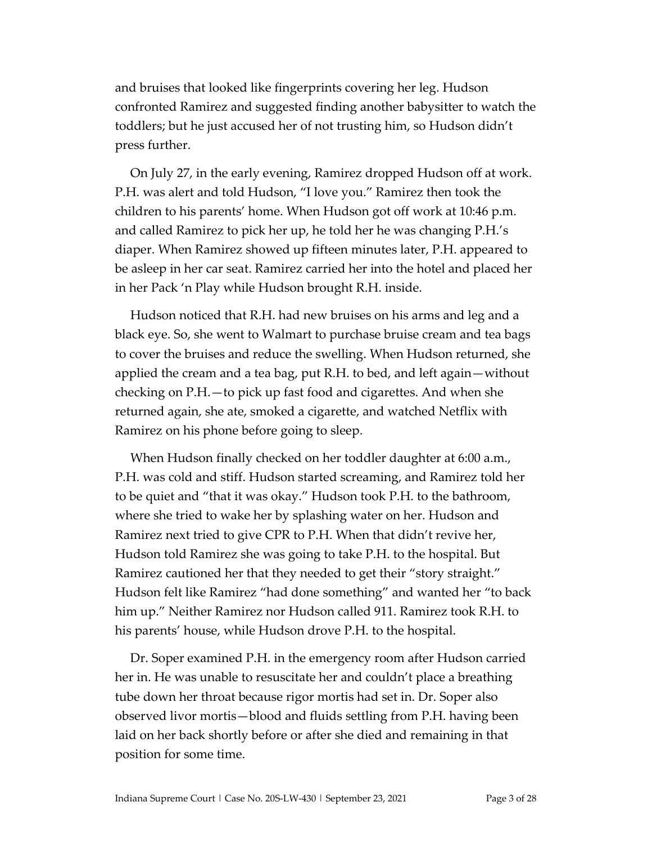and bruises that looked like fingerprints covering her leg. Hudson confronted Ramirez and suggested finding another babysitter to watch the toddlers; but he just accused her of not trusting him, so Hudson didn't press further.

On July 27, in the early evening, Ramirez dropped Hudson off at work. P.H. was alert and told Hudson, "I love you." Ramirez then took the children to his parents' home. When Hudson got off work at 10:46 p.m. and called Ramirez to pick her up, he told her he was changing P.H.'s diaper. When Ramirez showed up fifteen minutes later, P.H. appeared to be asleep in her car seat. Ramirez carried her into the hotel and placed her in her Pack 'n Play while Hudson brought R.H. inside.

Hudson noticed that R.H. had new bruises on his arms and leg and a black eye. So, she went to Walmart to purchase bruise cream and tea bags to cover the bruises and reduce the swelling. When Hudson returned, she applied the cream and a tea bag, put R.H. to bed, and left again—without checking on P.H.—to pick up fast food and cigarettes. And when she returned again, she ate, smoked a cigarette, and watched Netflix with Ramirez on his phone before going to sleep.

When Hudson finally checked on her toddler daughter at 6:00 a.m., P.H. was cold and stiff. Hudson started screaming, and Ramirez told her to be quiet and "that it was okay." Hudson took P.H. to the bathroom, where she tried to wake her by splashing water on her. Hudson and Ramirez next tried to give CPR to P.H. When that didn't revive her, Hudson told Ramirez she was going to take P.H. to the hospital. But Ramirez cautioned her that they needed to get their "story straight." Hudson felt like Ramirez "had done something" and wanted her "to back him up." Neither Ramirez nor Hudson called 911. Ramirez took R.H. to his parents' house, while Hudson drove P.H. to the hospital.

Dr. Soper examined P.H. in the emergency room after Hudson carried her in. He was unable to resuscitate her and couldn't place a breathing tube down her throat because rigor mortis had set in. Dr. Soper also observed livor mortis—blood and fluids settling from P.H. having been laid on her back shortly before or after she died and remaining in that position for some time.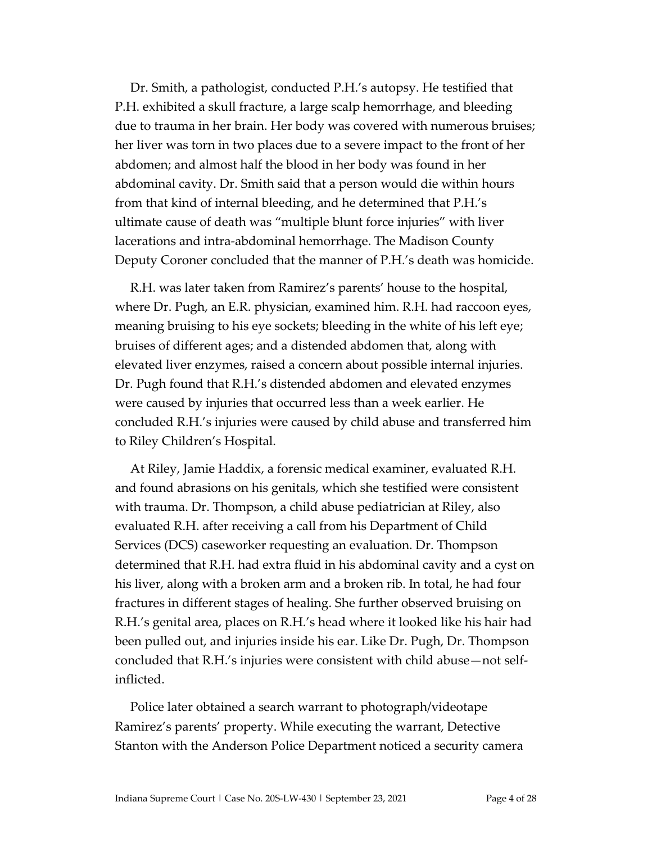Dr. Smith, a pathologist, conducted P.H.'s autopsy. He testified that P.H. exhibited a skull fracture, a large scalp hemorrhage, and bleeding due to trauma in her brain. Her body was covered with numerous bruises; her liver was torn in two places due to a severe impact to the front of her abdomen; and almost half the blood in her body was found in her abdominal cavity. Dr. Smith said that a person would die within hours from that kind of internal bleeding, and he determined that P.H.'s ultimate cause of death was "multiple blunt force injuries" with liver lacerations and intra-abdominal hemorrhage. The Madison County Deputy Coroner concluded that the manner of P.H.'s death was homicide.

R.H. was later taken from Ramirez's parents' house to the hospital, where Dr. Pugh, an E.R. physician, examined him. R.H. had raccoon eyes, meaning bruising to his eye sockets; bleeding in the white of his left eye; bruises of different ages; and a distended abdomen that, along with elevated liver enzymes, raised a concern about possible internal injuries. Dr. Pugh found that R.H.'s distended abdomen and elevated enzymes were caused by injuries that occurred less than a week earlier. He concluded R.H.'s injuries were caused by child abuse and transferred him to Riley Children's Hospital.

At Riley, Jamie Haddix, a forensic medical examiner, evaluated R.H. and found abrasions on his genitals, which she testified were consistent with trauma. Dr. Thompson, a child abuse pediatrician at Riley, also evaluated R.H. after receiving a call from his Department of Child Services (DCS) caseworker requesting an evaluation. Dr. Thompson determined that R.H. had extra fluid in his abdominal cavity and a cyst on his liver, along with a broken arm and a broken rib. In total, he had four fractures in different stages of healing. She further observed bruising on R.H.'s genital area, places on R.H.'s head where it looked like his hair had been pulled out, and injuries inside his ear. Like Dr. Pugh, Dr. Thompson concluded that R.H.'s injuries were consistent with child abuse—not selfinflicted.

Police later obtained a search warrant to photograph/videotape Ramirez's parents' property. While executing the warrant, Detective Stanton with the Anderson Police Department noticed a security camera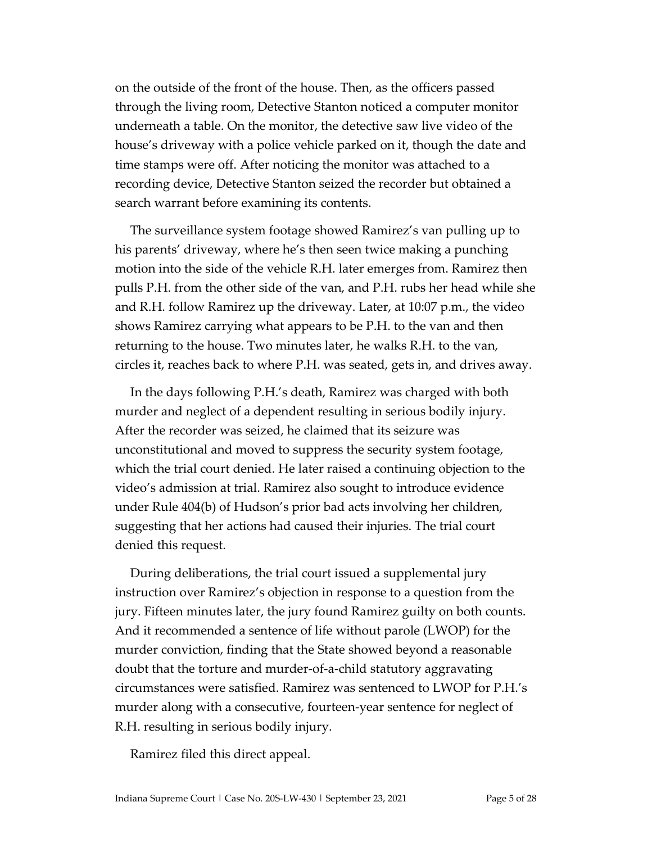on the outside of the front of the house. Then, as the officers passed through the living room, Detective Stanton noticed a computer monitor underneath a table. On the monitor, the detective saw live video of the house's driveway with a police vehicle parked on it, though the date and time stamps were off. After noticing the monitor was attached to a recording device, Detective Stanton seized the recorder but obtained a search warrant before examining its contents.

The surveillance system footage showed Ramirez's van pulling up to his parents' driveway, where he's then seen twice making a punching motion into the side of the vehicle R.H. later emerges from. Ramirez then pulls P.H. from the other side of the van, and P.H. rubs her head while she and R.H. follow Ramirez up the driveway. Later, at 10:07 p.m., the video shows Ramirez carrying what appears to be P.H. to the van and then returning to the house. Two minutes later, he walks R.H. to the van, circles it, reaches back to where P.H. was seated, gets in, and drives away.

In the days following P.H.'s death, Ramirez was charged with both murder and neglect of a dependent resulting in serious bodily injury. After the recorder was seized, he claimed that its seizure was unconstitutional and moved to suppress the security system footage, which the trial court denied. He later raised a continuing objection to the video's admission at trial. Ramirez also sought to introduce evidence under Rule 404(b) of Hudson's prior bad acts involving her children, suggesting that her actions had caused their injuries. The trial court denied this request.

During deliberations, the trial court issued a supplemental jury instruction over Ramirez's objection in response to a question from the jury. Fifteen minutes later, the jury found Ramirez guilty on both counts. And it recommended a sentence of life without parole (LWOP) for the murder conviction, finding that the State showed beyond a reasonable doubt that the torture and murder-of-a-child statutory aggravating circumstances were satisfied. Ramirez was sentenced to LWOP for P.H.'s murder along with a consecutive, fourteen-year sentence for neglect of R.H. resulting in serious bodily injury.

Ramirez filed this direct appeal.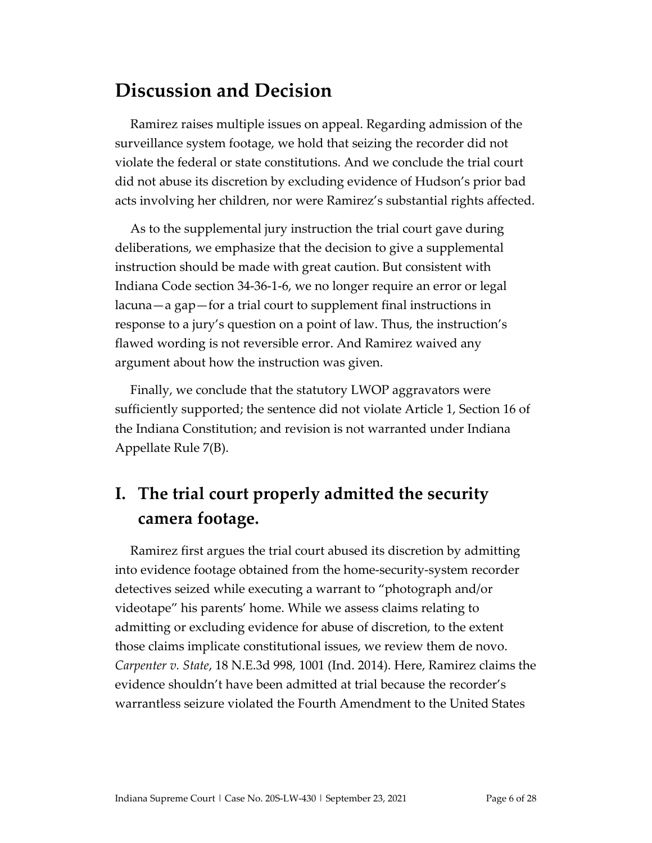## **Discussion and Decision**

Ramirez raises multiple issues on appeal. Regarding admission of the surveillance system footage, we hold that seizing the recorder did not violate the federal or state constitutions. And we conclude the trial court did not abuse its discretion by excluding evidence of Hudson's prior bad acts involving her children, nor were Ramirez's substantial rights affected.

As to the supplemental jury instruction the trial court gave during deliberations, we emphasize that the decision to give a supplemental instruction should be made with great caution. But consistent with Indiana Code section 34-36-1-6, we no longer require an error or legal lacuna—a gap—for a trial court to supplement final instructions in response to a jury's question on a point of law. Thus, the instruction's flawed wording is not reversible error. And Ramirez waived any argument about how the instruction was given.

Finally, we conclude that the statutory LWOP aggravators were sufficiently supported; the sentence did not violate Article 1, Section 16 of the Indiana Constitution; and revision is not warranted under Indiana Appellate Rule 7(B).

# **I. The trial court properly admitted the security camera footage.**

Ramirez first argues the trial court abused its discretion by admitting into evidence footage obtained from the home-security-system recorder detectives seized while executing a warrant to "photograph and/or videotape" his parents' home. While we assess claims relating to admitting or excluding evidence for abuse of discretion, to the extent those claims implicate constitutional issues, we review them de novo. *Carpenter v. State*, 18 N.E.3d 998, 1001 (Ind. 2014). Here, Ramirez claims the evidence shouldn't have been admitted at trial because the recorder's warrantless seizure violated the Fourth Amendment to the United States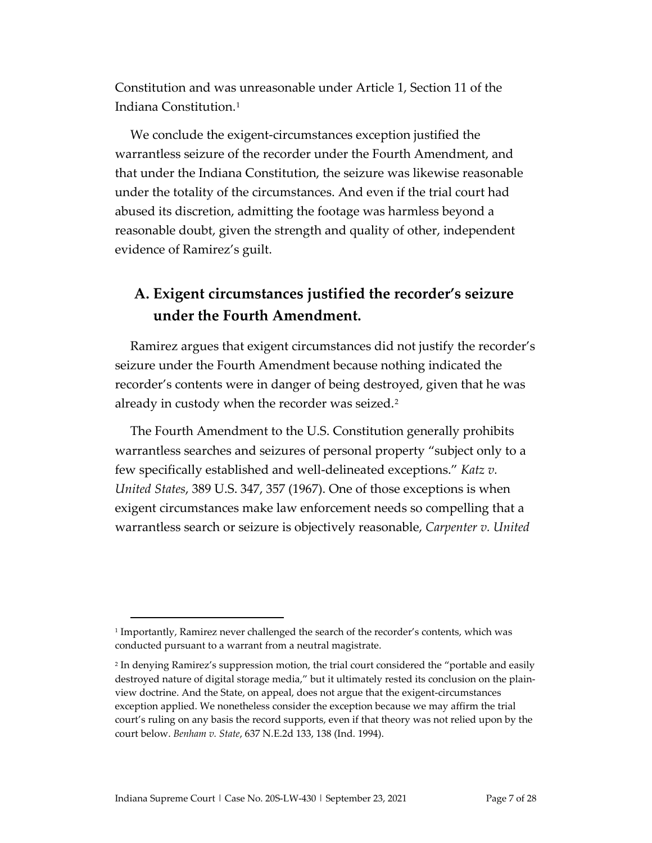Constitution and was unreasonable under Article 1, Section 11 of the Indiana Constitution.[1](#page-6-0)

We conclude the exigent-circumstances exception justified the warrantless seizure of the recorder under the Fourth Amendment, and that under the Indiana Constitution, the seizure was likewise reasonable under the totality of the circumstances. And even if the trial court had abused its discretion, admitting the footage was harmless beyond a reasonable doubt, given the strength and quality of other, independent evidence of Ramirez's guilt.

## **A. Exigent circumstances justified the recorder's seizure under the Fourth Amendment.**

Ramirez argues that exigent circumstances did not justify the recorder's seizure under the Fourth Amendment because nothing indicated the recorder's contents were in danger of being destroyed, given that he was already in custody when the recorder was seized.<sup>[2](#page-6-1)</sup>

The Fourth Amendment to the U.S. Constitution generally prohibits warrantless searches and seizures of personal property "subject only to a few specifically established and well-delineated exceptions." *Katz v. United States*, 389 U.S. 347, 357 (1967). One of those exceptions is when exigent circumstances make law enforcement needs so compelling that a warrantless search or seizure is objectively reasonable, *Carpenter v. United* 

<span id="page-6-0"></span><sup>1</sup> Importantly, Ramirez never challenged the search of the recorder's contents, which was conducted pursuant to a warrant from a neutral magistrate.

<span id="page-6-1"></span><sup>2</sup> In denying Ramirez's suppression motion, the trial court considered the "portable and easily destroyed nature of digital storage media," but it ultimately rested its conclusion on the plainview doctrine. And the State, on appeal, does not argue that the exigent-circumstances exception applied. We nonetheless consider the exception because we may affirm the trial court's ruling on any basis the record supports, even if that theory was not relied upon by the court below. *Benham v. State*, 637 N.E.2d 133, 138 (Ind. 1994).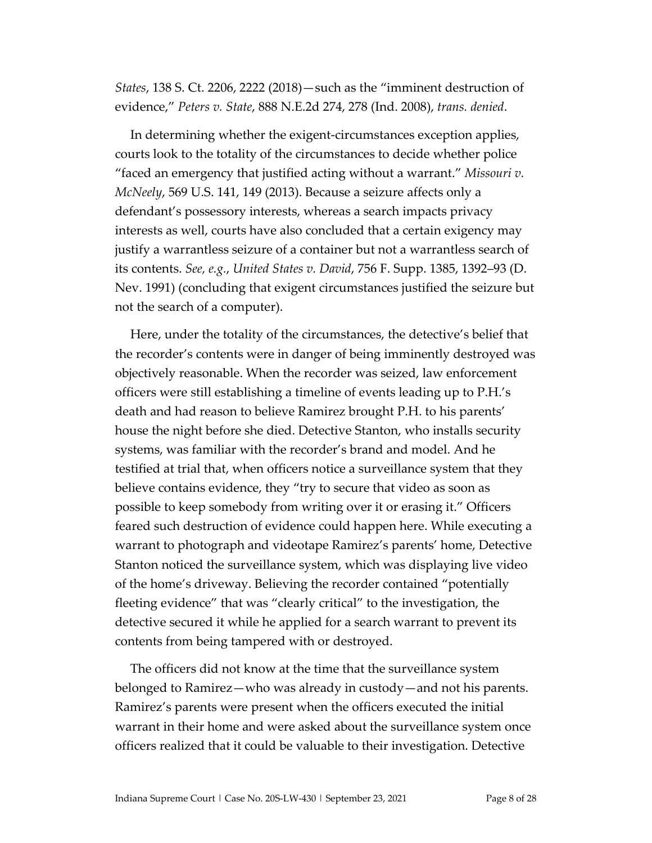*States*, 138 S. Ct. 2206, 2222 (2018)—such as the "imminent destruction of evidence," *Peters v. State*, 888 N.E.2d 274, 278 (Ind. 2008), *trans. denied*.

In determining whether the exigent-circumstances exception applies, courts look to the totality of the circumstances to decide whether police "faced an emergency that justified acting without a warrant." *Missouri v. McNeely*, 569 U.S. 141, 149 (2013). Because a seizure affects only a defendant's possessory interests, whereas a search impacts privacy interests as well, courts have also concluded that a certain exigency may justify a warrantless seizure of a container but not a warrantless search of its contents. *See, e.g.*, *United States v. David*, 756 F. Supp. 1385, 1392–93 (D. Nev. 1991) (concluding that exigent circumstances justified the seizure but not the search of a computer).

Here, under the totality of the circumstances, the detective's belief that the recorder's contents were in danger of being imminently destroyed was objectively reasonable. When the recorder was seized, law enforcement officers were still establishing a timeline of events leading up to P.H.'s death and had reason to believe Ramirez brought P.H. to his parents' house the night before she died. Detective Stanton, who installs security systems, was familiar with the recorder's brand and model. And he testified at trial that, when officers notice a surveillance system that they believe contains evidence, they "try to secure that video as soon as possible to keep somebody from writing over it or erasing it." Officers feared such destruction of evidence could happen here. While executing a warrant to photograph and videotape Ramirez's parents' home, Detective Stanton noticed the surveillance system, which was displaying live video of the home's driveway. Believing the recorder contained "potentially fleeting evidence" that was "clearly critical" to the investigation, the detective secured it while he applied for a search warrant to prevent its contents from being tampered with or destroyed.

The officers did not know at the time that the surveillance system belonged to Ramirez—who was already in custody—and not his parents. Ramirez's parents were present when the officers executed the initial warrant in their home and were asked about the surveillance system once officers realized that it could be valuable to their investigation. Detective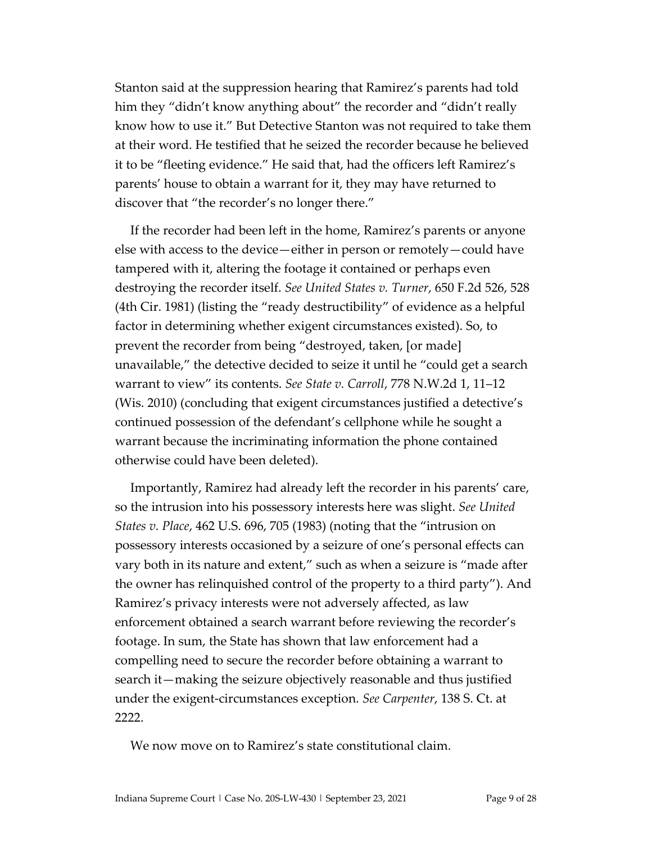Stanton said at the suppression hearing that Ramirez's parents had told him they "didn't know anything about" the recorder and "didn't really know how to use it." But Detective Stanton was not required to take them at their word. He testified that he seized the recorder because he believed it to be "fleeting evidence." He said that, had the officers left Ramirez's parents' house to obtain a warrant for it, they may have returned to discover that "the recorder's no longer there."

If the recorder had been left in the home, Ramirez's parents or anyone else with access to the device—either in person or remotely—could have tampered with it, altering the footage it contained or perhaps even destroying the recorder itself. *See United States v. Turner*, 650 F.2d 526, 528 (4th Cir. 1981) (listing the "ready destructibility" of evidence as a helpful factor in determining whether exigent circumstances existed). So, to prevent the recorder from being "destroyed, taken, [or made] unavailable," the detective decided to seize it until he "could get a search warrant to view" its contents. *See State v. Carroll*, 778 N.W.2d 1, 11–12 (Wis. 2010) (concluding that exigent circumstances justified a detective's continued possession of the defendant's cellphone while he sought a warrant because the incriminating information the phone contained otherwise could have been deleted).

Importantly, Ramirez had already left the recorder in his parents' care, so the intrusion into his possessory interests here was slight. *See United States v. Place*, 462 U.S. 696, 705 (1983) (noting that the "intrusion on possessory interests occasioned by a seizure of one's personal effects can vary both in its nature and extent," such as when a seizure is "made after the owner has relinquished control of the property to a third party"). And Ramirez's privacy interests were not adversely affected, as law enforcement obtained a search warrant before reviewing the recorder's footage. In sum, the State has shown that law enforcement had a compelling need to secure the recorder before obtaining a warrant to search it—making the seizure objectively reasonable and thus justified under the exigent-circumstances exception. *See Carpenter*, 138 S. Ct. at 2222

We now move on to Ramirez's state constitutional claim.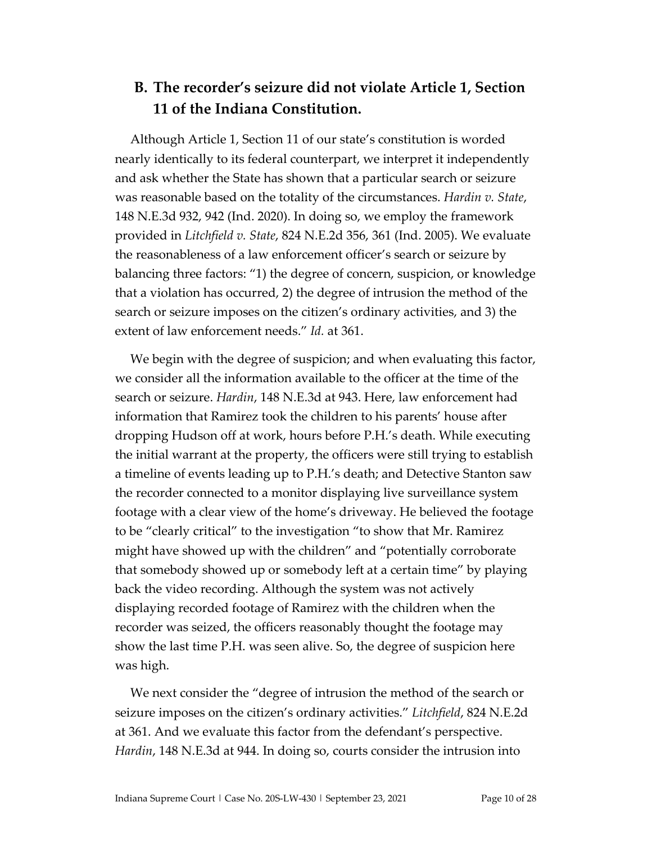### **B. The recorder's seizure did not violate Article 1, Section 11 of the Indiana Constitution.**

Although Article 1, Section 11 of our state's constitution is worded nearly identically to its federal counterpart, we interpret it independently and ask whether the State has shown that a particular search or seizure was reasonable based on the totality of the circumstances. *Hardin v. State*, 148 N.E.3d 932, 942 (Ind. 2020). In doing so, we employ the framework provided in *Litchfield v. State*, 824 N.E.2d 356, 361 (Ind. 2005). We evaluate the reasonableness of a law enforcement officer's search or seizure by balancing three factors: "1) the degree of concern, suspicion, or knowledge that a violation has occurred, 2) the degree of intrusion the method of the search or seizure imposes on the citizen's ordinary activities, and 3) the extent of law enforcement needs." *Id.* at 361.

We begin with the degree of suspicion; and when evaluating this factor, we consider all the information available to the officer at the time of the search or seizure. *Hardin*, 148 N.E.3d at 943. Here, law enforcement had information that Ramirez took the children to his parents' house after dropping Hudson off at work, hours before P.H.'s death. While executing the initial warrant at the property, the officers were still trying to establish a timeline of events leading up to P.H.'s death; and Detective Stanton saw the recorder connected to a monitor displaying live surveillance system footage with a clear view of the home's driveway. He believed the footage to be "clearly critical" to the investigation "to show that Mr. Ramirez might have showed up with the children" and "potentially corroborate that somebody showed up or somebody left at a certain time" by playing back the video recording. Although the system was not actively displaying recorded footage of Ramirez with the children when the recorder was seized, the officers reasonably thought the footage may show the last time P.H. was seen alive. So, the degree of suspicion here was high.

We next consider the "degree of intrusion the method of the search or seizure imposes on the citizen's ordinary activities." *Litchfield*, 824 N.E.2d at 361. And we evaluate this factor from the defendant's perspective. *Hardin*, 148 N.E.3d at 944. In doing so, courts consider the intrusion into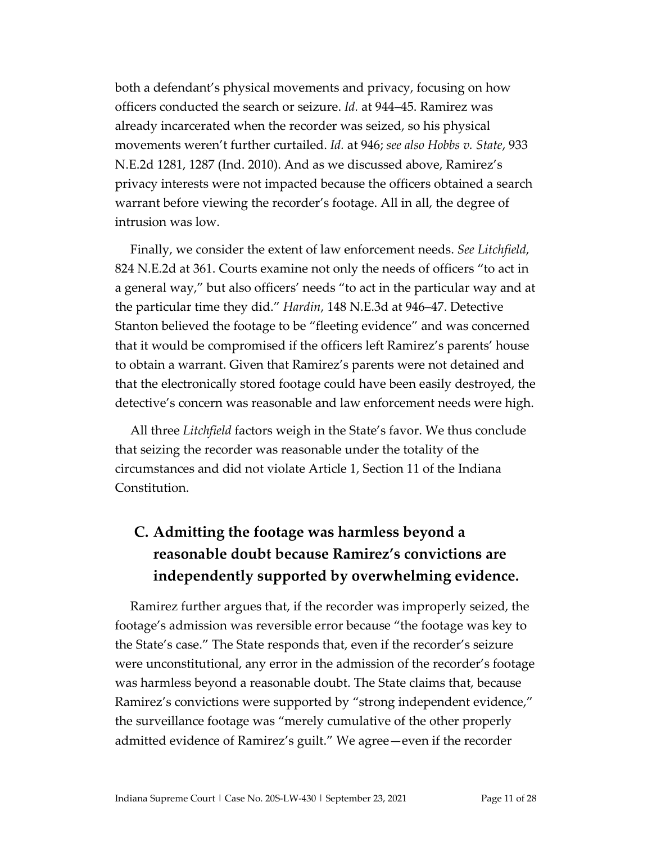both a defendant's physical movements and privacy, focusing on how officers conducted the search or seizure. *Id.* at 944–45. Ramirez was already incarcerated when the recorder was seized, so his physical movements weren't further curtailed. *Id.* at 946; *see also Hobbs v. State*, 933 N.E.2d 1281, 1287 (Ind. 2010). And as we discussed above, Ramirez's privacy interests were not impacted because the officers obtained a search warrant before viewing the recorder's footage. All in all, the degree of intrusion was low.

Finally, we consider the extent of law enforcement needs. *See Litchfield*, 824 N.E.2d at 361. Courts examine not only the needs of officers "to act in a general way," but also officers' needs "to act in the particular way and at the particular time they did." *Hardin*, 148 N.E.3d at 946–47. Detective Stanton believed the footage to be "fleeting evidence" and was concerned that it would be compromised if the officers left Ramirez's parents' house to obtain a warrant. Given that Ramirez's parents were not detained and that the electronically stored footage could have been easily destroyed, the detective's concern was reasonable and law enforcement needs were high.

All three *Litchfield* factors weigh in the State's favor. We thus conclude that seizing the recorder was reasonable under the totality of the circumstances and did not violate Article 1, Section 11 of the Indiana Constitution.

## **C. Admitting the footage was harmless beyond a reasonable doubt because Ramirez's convictions are independently supported by overwhelming evidence.**

Ramirez further argues that, if the recorder was improperly seized, the footage's admission was reversible error because "the footage was key to the State's case." The State responds that, even if the recorder's seizure were unconstitutional, any error in the admission of the recorder's footage was harmless beyond a reasonable doubt. The State claims that, because Ramirez's convictions were supported by "strong independent evidence," the surveillance footage was "merely cumulative of the other properly admitted evidence of Ramirez's guilt." We agree—even if the recorder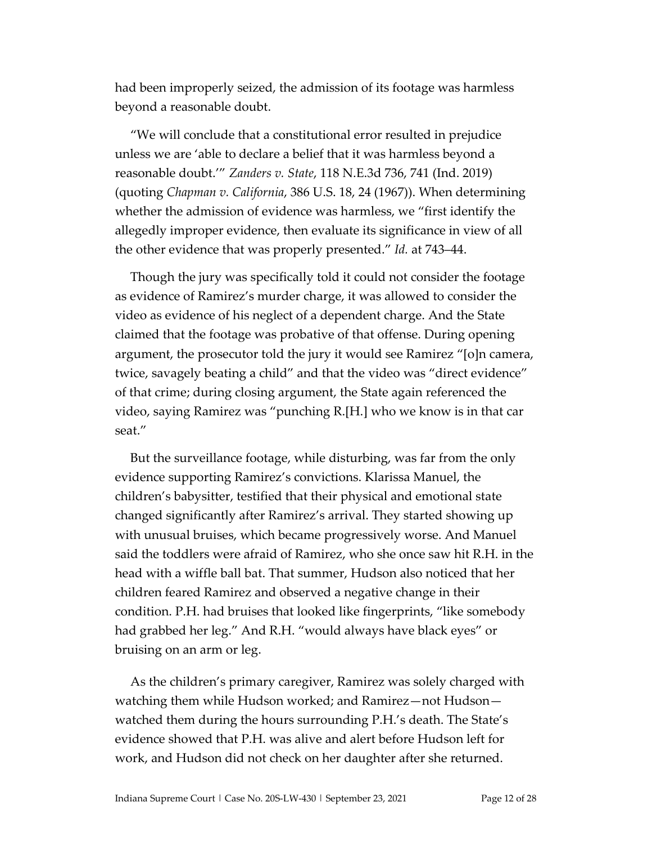had been improperly seized, the admission of its footage was harmless beyond a reasonable doubt.

"We will conclude that a constitutional error resulted in prejudice unless we are 'able to declare a belief that it was harmless beyond a reasonable doubt.'" *Zanders v. State*, 118 N.E.3d 736, 741 (Ind. 2019) (quoting *Chapman v. California*, 386 U.S. 18, 24 (1967)). When determining whether the admission of evidence was harmless, we "first identify the allegedly improper evidence, then evaluate its significance in view of all the other evidence that was properly presented." *Id.* at 743–44.

Though the jury was specifically told it could not consider the footage as evidence of Ramirez's murder charge, it was allowed to consider the video as evidence of his neglect of a dependent charge. And the State claimed that the footage was probative of that offense. During opening argument, the prosecutor told the jury it would see Ramirez "[o]n camera, twice, savagely beating a child" and that the video was "direct evidence" of that crime; during closing argument, the State again referenced the video, saying Ramirez was "punching R.[H.] who we know is in that car seat."

But the surveillance footage, while disturbing, was far from the only evidence supporting Ramirez's convictions. Klarissa Manuel, the children's babysitter, testified that their physical and emotional state changed significantly after Ramirez's arrival. They started showing up with unusual bruises, which became progressively worse. And Manuel said the toddlers were afraid of Ramirez, who she once saw hit R.H. in the head with a wiffle ball bat. That summer, Hudson also noticed that her children feared Ramirez and observed a negative change in their condition. P.H. had bruises that looked like fingerprints, "like somebody had grabbed her leg." And R.H. "would always have black eyes" or bruising on an arm or leg.

As the children's primary caregiver, Ramirez was solely charged with watching them while Hudson worked; and Ramirez—not Hudson watched them during the hours surrounding P.H.'s death. The State's evidence showed that P.H. was alive and alert before Hudson left for work, and Hudson did not check on her daughter after she returned.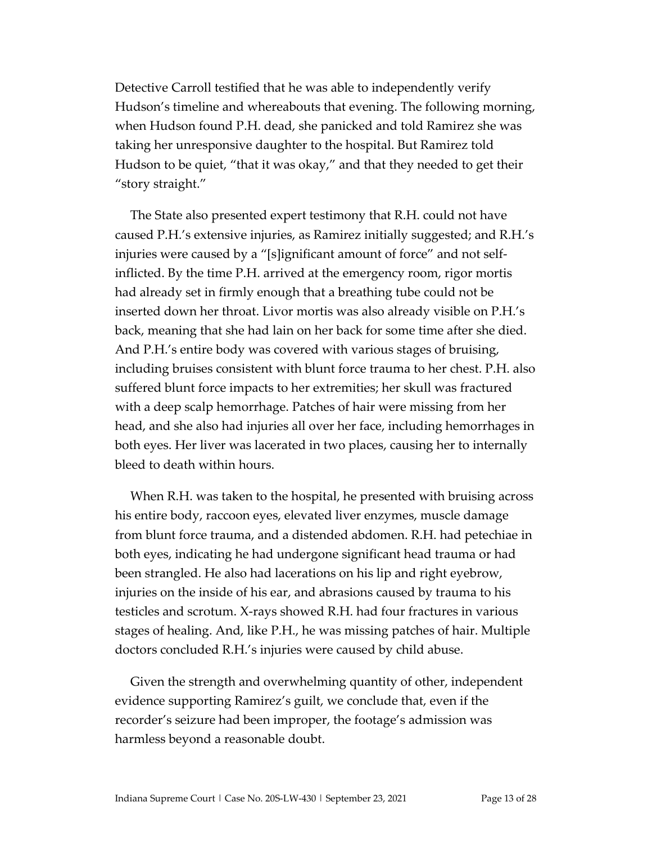Detective Carroll testified that he was able to independently verify Hudson's timeline and whereabouts that evening. The following morning, when Hudson found P.H. dead, she panicked and told Ramirez she was taking her unresponsive daughter to the hospital. But Ramirez told Hudson to be quiet, "that it was okay," and that they needed to get their "story straight."

The State also presented expert testimony that R.H. could not have caused P.H.'s extensive injuries, as Ramirez initially suggested; and R.H.'s injuries were caused by a "[s]ignificant amount of force" and not selfinflicted. By the time P.H. arrived at the emergency room, rigor mortis had already set in firmly enough that a breathing tube could not be inserted down her throat. Livor mortis was also already visible on P.H.'s back, meaning that she had lain on her back for some time after she died. And P.H.'s entire body was covered with various stages of bruising, including bruises consistent with blunt force trauma to her chest. P.H. also suffered blunt force impacts to her extremities; her skull was fractured with a deep scalp hemorrhage. Patches of hair were missing from her head, and she also had injuries all over her face, including hemorrhages in both eyes. Her liver was lacerated in two places, causing her to internally bleed to death within hours.

When R.H. was taken to the hospital, he presented with bruising across his entire body, raccoon eyes, elevated liver enzymes, muscle damage from blunt force trauma, and a distended abdomen. R.H. had petechiae in both eyes, indicating he had undergone significant head trauma or had been strangled. He also had lacerations on his lip and right eyebrow, injuries on the inside of his ear, and abrasions caused by trauma to his testicles and scrotum. X-rays showed R.H. had four fractures in various stages of healing. And, like P.H., he was missing patches of hair. Multiple doctors concluded R.H.'s injuries were caused by child abuse.

Given the strength and overwhelming quantity of other, independent evidence supporting Ramirez's guilt, we conclude that, even if the recorder's seizure had been improper, the footage's admission was harmless beyond a reasonable doubt.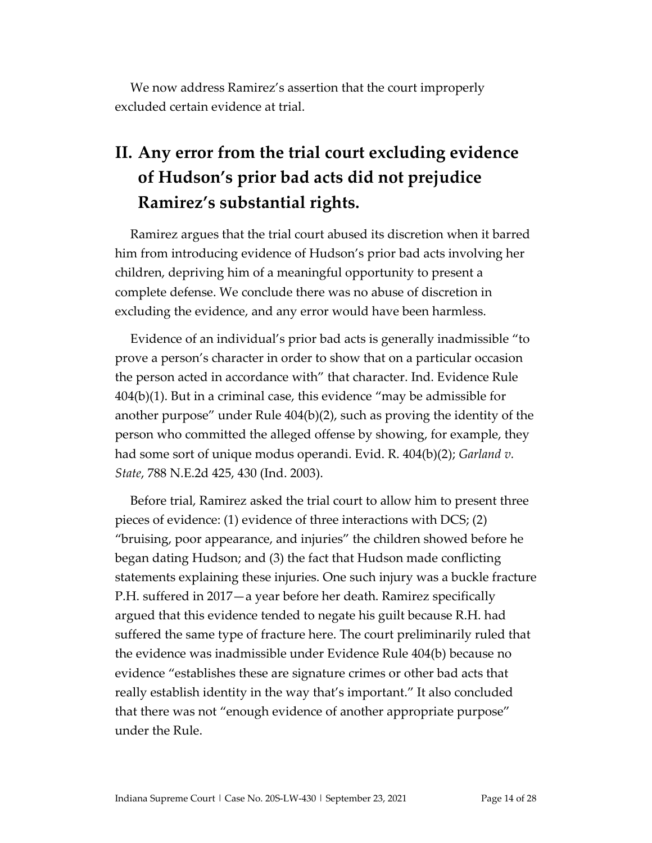We now address Ramirez's assertion that the court improperly excluded certain evidence at trial.

# **II. Any error from the trial court excluding evidence of Hudson's prior bad acts did not prejudice Ramirez's substantial rights.**

Ramirez argues that the trial court abused its discretion when it barred him from introducing evidence of Hudson's prior bad acts involving her children, depriving him of a meaningful opportunity to present a complete defense. We conclude there was no abuse of discretion in excluding the evidence, and any error would have been harmless.

Evidence of an individual's prior bad acts is generally inadmissible "to prove a person's character in order to show that on a particular occasion the person acted in accordance with" that character. Ind. Evidence Rule 404(b)(1). But in a criminal case, this evidence "may be admissible for another purpose" under Rule 404(b)(2), such as proving the identity of the person who committed the alleged offense by showing, for example, they had some sort of unique modus operandi. Evid. R. 404(b)(2); *Garland v. State*, 788 N.E.2d 425, 430 (Ind. 2003).

Before trial, Ramirez asked the trial court to allow him to present three pieces of evidence: (1) evidence of three interactions with DCS; (2) "bruising, poor appearance, and injuries" the children showed before he began dating Hudson; and (3) the fact that Hudson made conflicting statements explaining these injuries. One such injury was a buckle fracture P.H. suffered in 2017—a year before her death. Ramirez specifically argued that this evidence tended to negate his guilt because R.H. had suffered the same type of fracture here. The court preliminarily ruled that the evidence was inadmissible under Evidence Rule 404(b) because no evidence "establishes these are signature crimes or other bad acts that really establish identity in the way that's important." It also concluded that there was not "enough evidence of another appropriate purpose" under the Rule.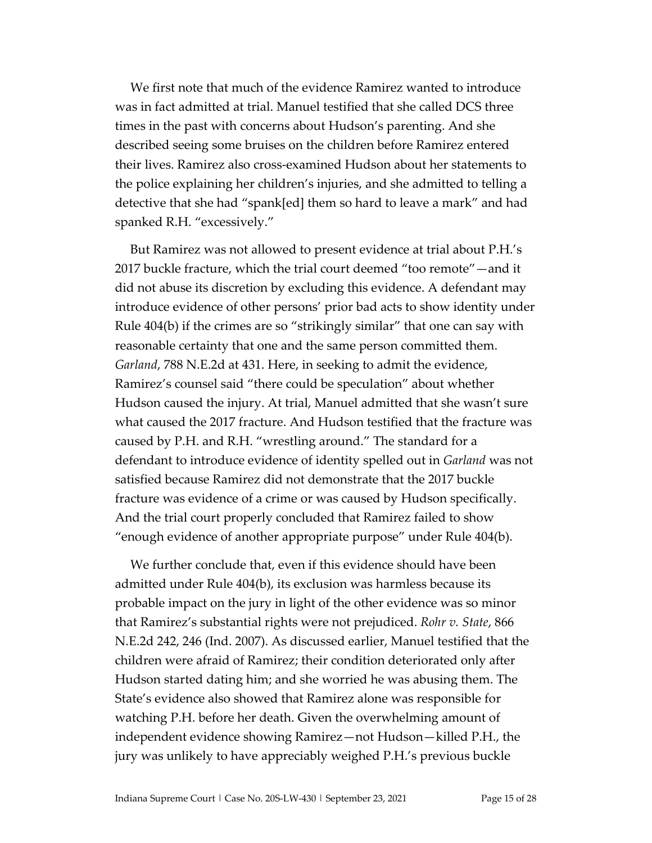We first note that much of the evidence Ramirez wanted to introduce was in fact admitted at trial. Manuel testified that she called DCS three times in the past with concerns about Hudson's parenting. And she described seeing some bruises on the children before Ramirez entered their lives. Ramirez also cross-examined Hudson about her statements to the police explaining her children's injuries, and she admitted to telling a detective that she had "spank[ed] them so hard to leave a mark" and had spanked R.H. "excessively."

But Ramirez was not allowed to present evidence at trial about P.H.'s 2017 buckle fracture, which the trial court deemed "too remote"—and it did not abuse its discretion by excluding this evidence. A defendant may introduce evidence of other persons' prior bad acts to show identity under Rule 404(b) if the crimes are so "strikingly similar" that one can say with reasonable certainty that one and the same person committed them. *Garland*, 788 N.E.2d at 431. Here, in seeking to admit the evidence, Ramirez's counsel said "there could be speculation" about whether Hudson caused the injury. At trial, Manuel admitted that she wasn't sure what caused the 2017 fracture. And Hudson testified that the fracture was caused by P.H. and R.H. "wrestling around." The standard for a defendant to introduce evidence of identity spelled out in *Garland* was not satisfied because Ramirez did not demonstrate that the 2017 buckle fracture was evidence of a crime or was caused by Hudson specifically. And the trial court properly concluded that Ramirez failed to show "enough evidence of another appropriate purpose" under Rule 404(b).

We further conclude that, even if this evidence should have been admitted under Rule 404(b), its exclusion was harmless because its probable impact on the jury in light of the other evidence was so minor that Ramirez's substantial rights were not prejudiced. *Rohr v. State*, 866 N.E.2d 242, 246 (Ind. 2007). As discussed earlier, Manuel testified that the children were afraid of Ramirez; their condition deteriorated only after Hudson started dating him; and she worried he was abusing them. The State's evidence also showed that Ramirez alone was responsible for watching P.H. before her death. Given the overwhelming amount of independent evidence showing Ramirez—not Hudson—killed P.H., the jury was unlikely to have appreciably weighed P.H.'s previous buckle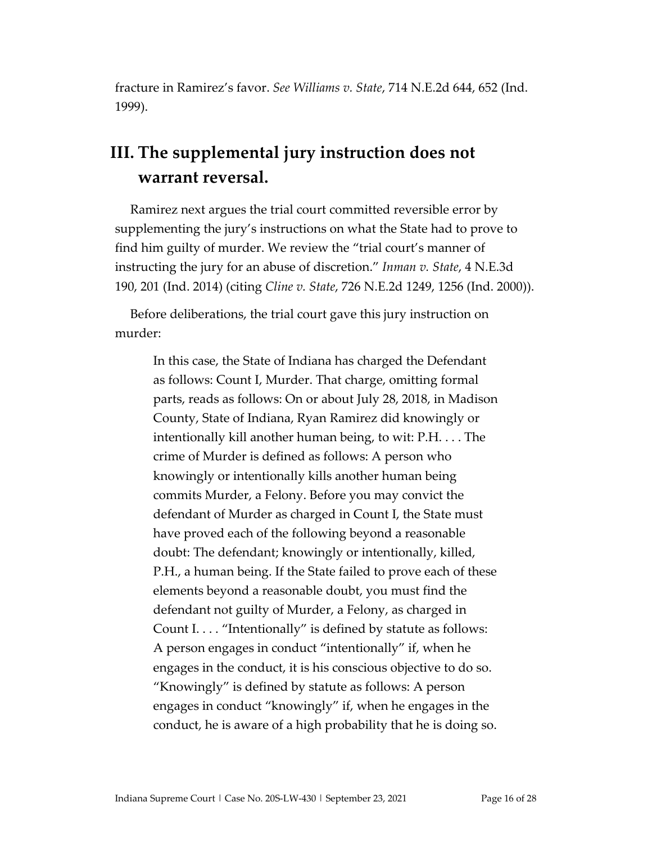fracture in Ramirez's favor. *See Williams v. State*, 714 N.E.2d 644, 652 (Ind. 1999).

## **III. The supplemental jury instruction does not warrant reversal.**

Ramirez next argues the trial court committed reversible error by supplementing the jury's instructions on what the State had to prove to find him guilty of murder. We review the "trial court's manner of instructing the jury for an abuse of discretion." *Inman v. State*, 4 N.E.3d 190, 201 (Ind. 2014) (citing *Cline v. State*, 726 N.E.2d 1249, 1256 (Ind. 2000)).

Before deliberations, the trial court gave this jury instruction on murder:

In this case, the State of Indiana has charged the Defendant as follows: Count I, Murder. That charge, omitting formal parts, reads as follows: On or about July 28, 2018, in Madison County, State of Indiana, Ryan Ramirez did knowingly or intentionally kill another human being, to wit: P.H. . . . The crime of Murder is defined as follows: A person who knowingly or intentionally kills another human being commits Murder, a Felony. Before you may convict the defendant of Murder as charged in Count I, the State must have proved each of the following beyond a reasonable doubt: The defendant; knowingly or intentionally, killed, P.H., a human being. If the State failed to prove each of these elements beyond a reasonable doubt, you must find the defendant not guilty of Murder, a Felony, as charged in Count I. . . . "Intentionally" is defined by statute as follows: A person engages in conduct "intentionally" if, when he engages in the conduct, it is his conscious objective to do so. "Knowingly" is defined by statute as follows: A person engages in conduct "knowingly" if, when he engages in the conduct, he is aware of a high probability that he is doing so.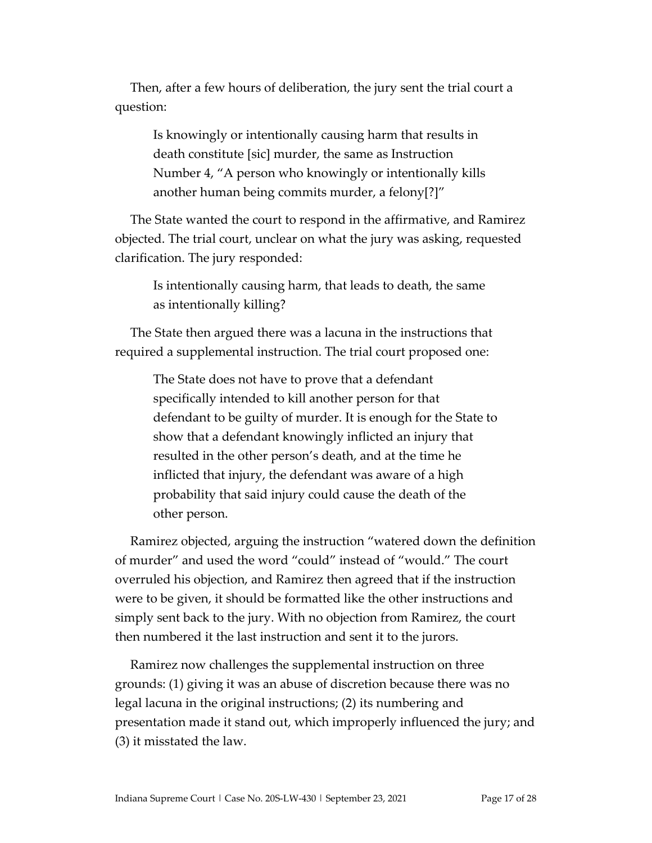Then, after a few hours of deliberation, the jury sent the trial court a question:

Is knowingly or intentionally causing harm that results in death constitute [sic] murder, the same as Instruction Number 4, "A person who knowingly or intentionally kills another human being commits murder, a felony[?]"

The State wanted the court to respond in the affirmative, and Ramirez objected. The trial court, unclear on what the jury was asking, requested clarification. The jury responded:

Is intentionally causing harm, that leads to death, the same as intentionally killing?

The State then argued there was a lacuna in the instructions that required a supplemental instruction. The trial court proposed one:

The State does not have to prove that a defendant specifically intended to kill another person for that defendant to be guilty of murder. It is enough for the State to show that a defendant knowingly inflicted an injury that resulted in the other person's death, and at the time he inflicted that injury, the defendant was aware of a high probability that said injury could cause the death of the other person.

Ramirez objected, arguing the instruction "watered down the definition of murder" and used the word "could" instead of "would." The court overruled his objection, and Ramirez then agreed that if the instruction were to be given, it should be formatted like the other instructions and simply sent back to the jury. With no objection from Ramirez, the court then numbered it the last instruction and sent it to the jurors.

Ramirez now challenges the supplemental instruction on three grounds: (1) giving it was an abuse of discretion because there was no legal lacuna in the original instructions; (2) its numbering and presentation made it stand out, which improperly influenced the jury; and (3) it misstated the law.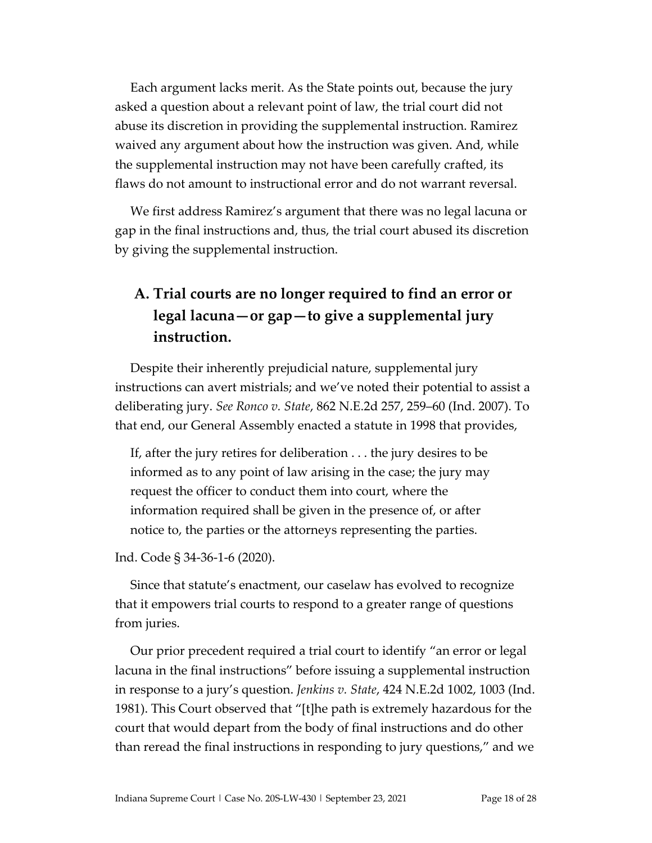Each argument lacks merit. As the State points out, because the jury asked a question about a relevant point of law, the trial court did not abuse its discretion in providing the supplemental instruction. Ramirez waived any argument about how the instruction was given. And, while the supplemental instruction may not have been carefully crafted, its flaws do not amount to instructional error and do not warrant reversal.

We first address Ramirez's argument that there was no legal lacuna or gap in the final instructions and, thus, the trial court abused its discretion by giving the supplemental instruction.

## **A. Trial courts are no longer required to find an error or legal lacuna—or gap—to give a supplemental jury instruction.**

Despite their inherently prejudicial nature, supplemental jury instructions can avert mistrials; and we've noted their potential to assist a deliberating jury. *See Ronco v. State*, 862 N.E.2d 257, 259–60 (Ind. 2007). To that end, our General Assembly enacted a statute in 1998 that provides,

If, after the jury retires for deliberation . . . the jury desires to be informed as to any point of law arising in the case; the jury may request the officer to conduct them into court, where the information required shall be given in the presence of, or after notice to, the parties or the attorneys representing the parties.

Ind. Code § 34-36-1-6 (2020).

Since that statute's enactment, our caselaw has evolved to recognize that it empowers trial courts to respond to a greater range of questions from juries.

Our prior precedent required a trial court to identify "an error or legal lacuna in the final instructions" before issuing a supplemental instruction in response to a jury's question. *Jenkins v. State*, 424 N.E.2d 1002, 1003 (Ind. 1981). This Court observed that "[t]he path is extremely hazardous for the court that would depart from the body of final instructions and do other than reread the final instructions in responding to jury questions," and we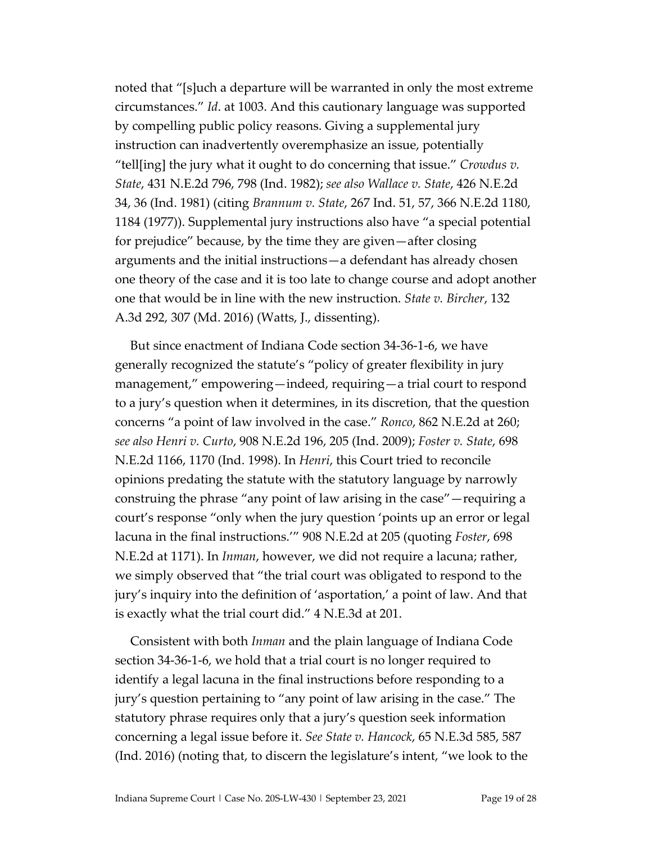noted that "[s]uch a departure will be warranted in only the most extreme circumstances." *Id*. at 1003. And this cautionary language was supported by compelling public policy reasons. Giving a supplemental jury instruction can inadvertently overemphasize an issue, potentially "tell[ing] the jury what it ought to do concerning that issue." *Crowdus v. State*, 431 N.E.2d 796, 798 (Ind. 1982); *see also Wallace v. State*, 426 N.E.2d 34, 36 (Ind. 1981) (citing *Brannum v. State*, 267 Ind. 51, 57, 366 N.E.2d 1180, 1184 (1977)). Supplemental jury instructions also have "a special potential for prejudice" because, by the time they are given—after closing arguments and the initial instructions—a defendant has already chosen one theory of the case and it is too late to change course and adopt another one that would be in line with the new instruction. *State v. Bircher*, 132 A.3d 292, 307 (Md. 2016) (Watts, J., dissenting).

But since enactment of Indiana Code section 34-36-1-6, we have generally recognized the statute's "policy of greater flexibility in jury management," empowering—indeed, requiring—a trial court to respond to a jury's question when it determines, in its discretion, that the question concerns "a point of law involved in the case." *Ronco*, 862 N.E.2d at 260; *see also Henri v. Curto*, 908 N.E.2d 196, 205 (Ind. 2009); *Foster v. State*, 698 N.E.2d 1166, 1170 (Ind. 1998). In *Henri*, this Court tried to reconcile opinions predating the statute with the statutory language by narrowly construing the phrase "any point of law arising in the case"—requiring a court's response "only when the jury question 'points up an error or legal lacuna in the final instructions.'" 908 N.E.2d at 205 (quoting *Foster*, 698 N.E.2d at 1171). In *Inman*, however, we did not require a lacuna; rather, we simply observed that "the trial court was obligated to respond to the jury's inquiry into the definition of 'asportation,' a point of law. And that is exactly what the trial court did." 4 N.E.3d at 201.

Consistent with both *Inman* and the plain language of Indiana Code section 34-36-1-6, we hold that a trial court is no longer required to identify a legal lacuna in the final instructions before responding to a jury's question pertaining to "any point of law arising in the case." The statutory phrase requires only that a jury's question seek information concerning a legal issue before it. *See State v. Hancock*, 65 N.E.3d 585, 587 (Ind. 2016) (noting that, to discern the legislature's intent, "we look to the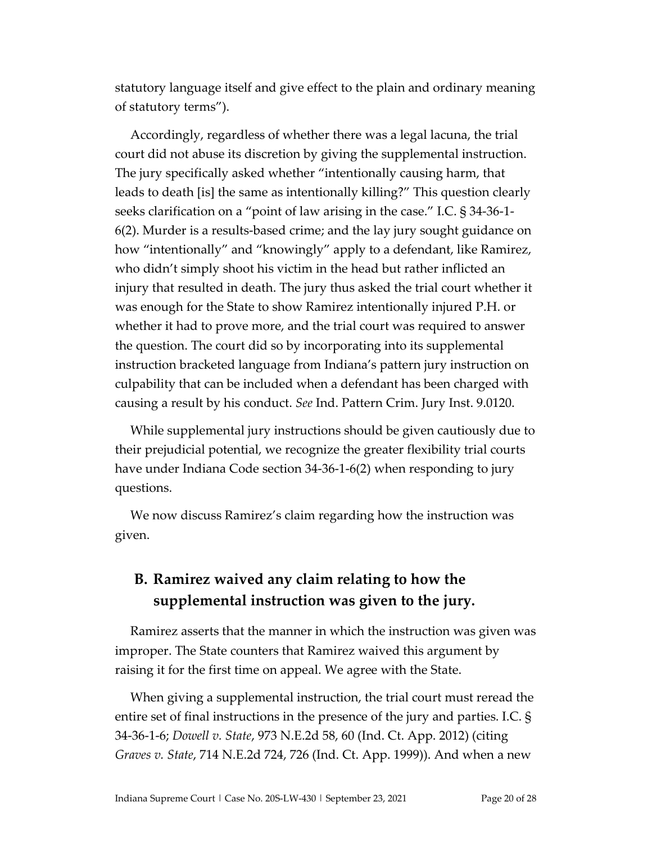statutory language itself and give effect to the plain and ordinary meaning of statutory terms").

Accordingly, regardless of whether there was a legal lacuna, the trial court did not abuse its discretion by giving the supplemental instruction. The jury specifically asked whether "intentionally causing harm, that leads to death [is] the same as intentionally killing?" This question clearly seeks clarification on a "point of law arising in the case." I.C. § 34-36-1- 6(2). Murder is a results-based crime; and the lay jury sought guidance on how "intentionally" and "knowingly" apply to a defendant, like Ramirez, who didn't simply shoot his victim in the head but rather inflicted an injury that resulted in death. The jury thus asked the trial court whether it was enough for the State to show Ramirez intentionally injured P.H. or whether it had to prove more, and the trial court was required to answer the question. The court did so by incorporating into its supplemental instruction bracketed language from Indiana's pattern jury instruction on culpability that can be included when a defendant has been charged with causing a result by his conduct. *See* Ind. Pattern Crim. Jury Inst. 9.0120.

While supplemental jury instructions should be given cautiously due to their prejudicial potential, we recognize the greater flexibility trial courts have under Indiana Code section 34-36-1-6(2) when responding to jury questions.

We now discuss Ramirez's claim regarding how the instruction was given.

### **B. Ramirez waived any claim relating to how the supplemental instruction was given to the jury.**

Ramirez asserts that the manner in which the instruction was given was improper. The State counters that Ramirez waived this argument by raising it for the first time on appeal. We agree with the State.

When giving a supplemental instruction, the trial court must reread the entire set of final instructions in the presence of the jury and parties. I.C. § 34-36-1-6; *Dowell v. State*, 973 N.E.2d 58, 60 (Ind. Ct. App. 2012) (citing *Graves v. State*, 714 N.E.2d 724, 726 (Ind. Ct. App. 1999)). And when a new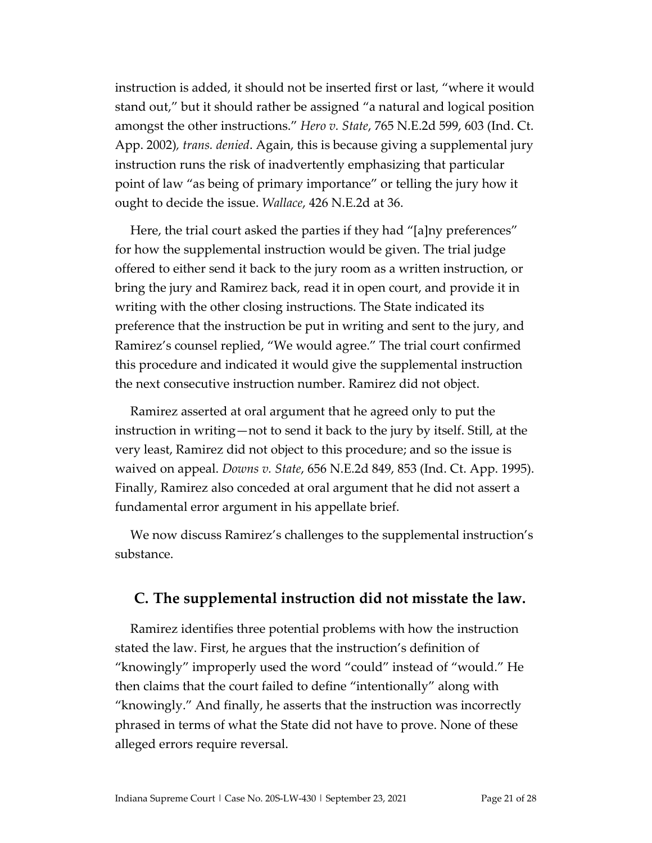instruction is added, it should not be inserted first or last, "where it would stand out," but it should rather be assigned "a natural and logical position amongst the other instructions." *Hero v. State*, 765 N.E.2d 599, 603 (Ind. Ct. App. 2002)*, trans. denied*. Again, this is because giving a supplemental jury instruction runs the risk of inadvertently emphasizing that particular point of law "as being of primary importance" or telling the jury how it ought to decide the issue. *Wallace*, 426 N.E.2d at 36.

Here, the trial court asked the parties if they had "[a]ny preferences" for how the supplemental instruction would be given. The trial judge offered to either send it back to the jury room as a written instruction, or bring the jury and Ramirez back, read it in open court, and provide it in writing with the other closing instructions. The State indicated its preference that the instruction be put in writing and sent to the jury, and Ramirez's counsel replied, "We would agree." The trial court confirmed this procedure and indicated it would give the supplemental instruction the next consecutive instruction number. Ramirez did not object.

Ramirez asserted at oral argument that he agreed only to put the instruction in writing—not to send it back to the jury by itself. Still, at the very least, Ramirez did not object to this procedure; and so the issue is waived on appeal. *Downs v. State*, 656 N.E.2d 849, 853 (Ind. Ct. App. 1995). Finally, Ramirez also conceded at oral argument that he did not assert a fundamental error argument in his appellate brief.

We now discuss Ramirez's challenges to the supplemental instruction's substance.

#### **C. The supplemental instruction did not misstate the law.**

Ramirez identifies three potential problems with how the instruction stated the law. First, he argues that the instruction's definition of "knowingly" improperly used the word "could" instead of "would." He then claims that the court failed to define "intentionally" along with "knowingly." And finally, he asserts that the instruction was incorrectly phrased in terms of what the State did not have to prove. None of these alleged errors require reversal.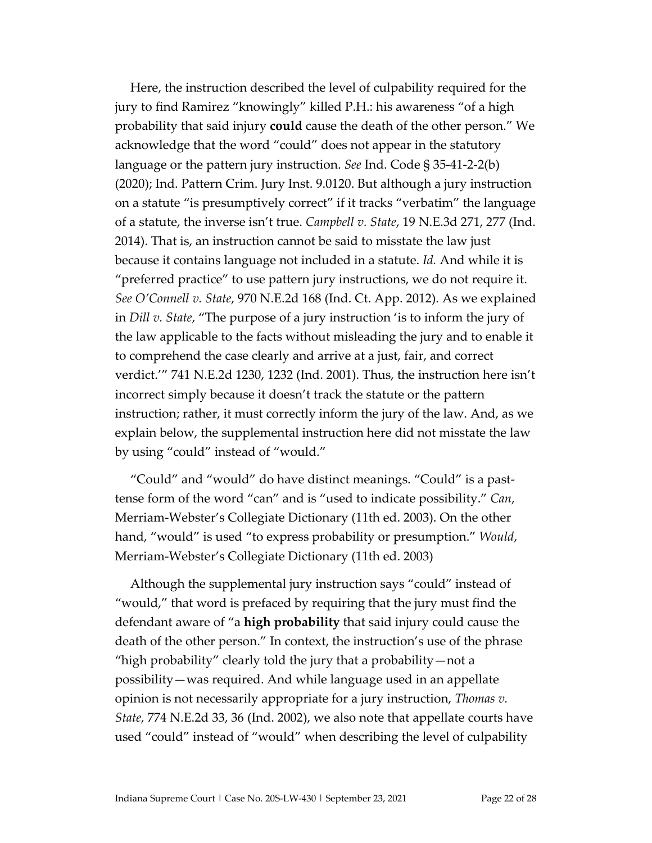Here, the instruction described the level of culpability required for the jury to find Ramirez "knowingly" killed P.H.: his awareness "of a high probability that said injury **could** cause the death of the other person." We acknowledge that the word "could" does not appear in the statutory language or the pattern jury instruction. *See* Ind. Code § 35-41-2-2(b) (2020); Ind. Pattern Crim. Jury Inst. 9.0120. But although a jury instruction on a statute "is presumptively correct" if it tracks "verbatim" the language of a statute, the inverse isn't true. *Campbell v. State*, 19 N.E.3d 271, 277 (Ind. 2014). That is, an instruction cannot be said to misstate the law just because it contains language not included in a statute. *Id.* And while it is "preferred practice" to use pattern jury instructions, we do not require it. *See O'Connell v. State*, 970 N.E.2d 168 (Ind. Ct. App. 2012). As we explained in *Dill v. State*, "The purpose of a jury instruction 'is to inform the jury of the law applicable to the facts without misleading the jury and to enable it to comprehend the case clearly and arrive at a just, fair, and correct verdict.'" 741 N.E.2d 1230, 1232 (Ind. 2001). Thus, the instruction here isn't incorrect simply because it doesn't track the statute or the pattern instruction; rather, it must correctly inform the jury of the law. And, as we explain below, the supplemental instruction here did not misstate the law by using "could" instead of "would."

"Could" and "would" do have distinct meanings. "Could" is a pasttense form of the word "can" and is "used to indicate possibility." *Can*, Merriam-Webster's Collegiate Dictionary (11th ed. 2003). On the other hand, "would" is used "to express probability or presumption." *Would*, Merriam-Webster's Collegiate Dictionary (11th ed. 2003)

Although the supplemental jury instruction says "could" instead of "would," that word is prefaced by requiring that the jury must find the defendant aware of "a **high probability** that said injury could cause the death of the other person." In context, the instruction's use of the phrase "high probability" clearly told the jury that a probability—not a possibility—was required. And while language used in an appellate opinion is not necessarily appropriate for a jury instruction, *Thomas v. State*, 774 N.E.2d 33, 36 (Ind. 2002), we also note that appellate courts have used "could" instead of "would" when describing the level of culpability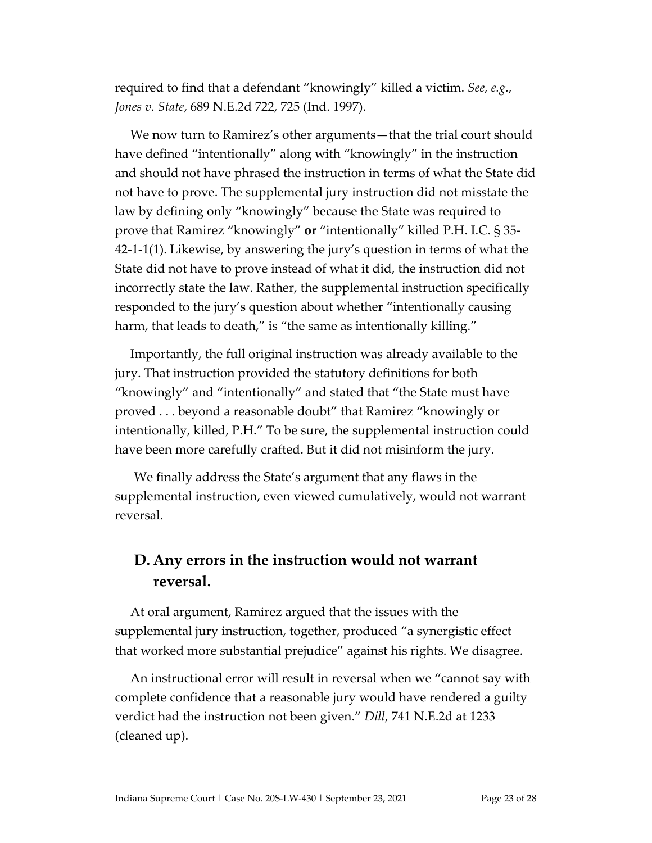required to find that a defendant "knowingly" killed a victim. *See, e.g.*, *Jones v. State*, 689 N.E.2d 722, 725 (Ind. 1997).

We now turn to Ramirez's other arguments—that the trial court should have defined "intentionally" along with "knowingly" in the instruction and should not have phrased the instruction in terms of what the State did not have to prove. The supplemental jury instruction did not misstate the law by defining only "knowingly" because the State was required to prove that Ramirez "knowingly" **or** "intentionally" killed P.H. I.C. § 35- 42-1-1(1). Likewise, by answering the jury's question in terms of what the State did not have to prove instead of what it did, the instruction did not incorrectly state the law. Rather, the supplemental instruction specifically responded to the jury's question about whether "intentionally causing harm, that leads to death," is "the same as intentionally killing."

Importantly, the full original instruction was already available to the jury. That instruction provided the statutory definitions for both "knowingly" and "intentionally" and stated that "the State must have proved . . . beyond a reasonable doubt" that Ramirez "knowingly or intentionally, killed, P.H." To be sure, the supplemental instruction could have been more carefully crafted. But it did not misinform the jury.

We finally address the State's argument that any flaws in the supplemental instruction, even viewed cumulatively, would not warrant reversal.

### **D. Any errors in the instruction would not warrant reversal.**

At oral argument, Ramirez argued that the issues with the supplemental jury instruction, together, produced "a synergistic effect that worked more substantial prejudice" against his rights. We disagree.

An instructional error will result in reversal when we "cannot say with complete confidence that a reasonable jury would have rendered a guilty verdict had the instruction not been given." *Dill*, 741 N.E.2d at 1233 (cleaned up).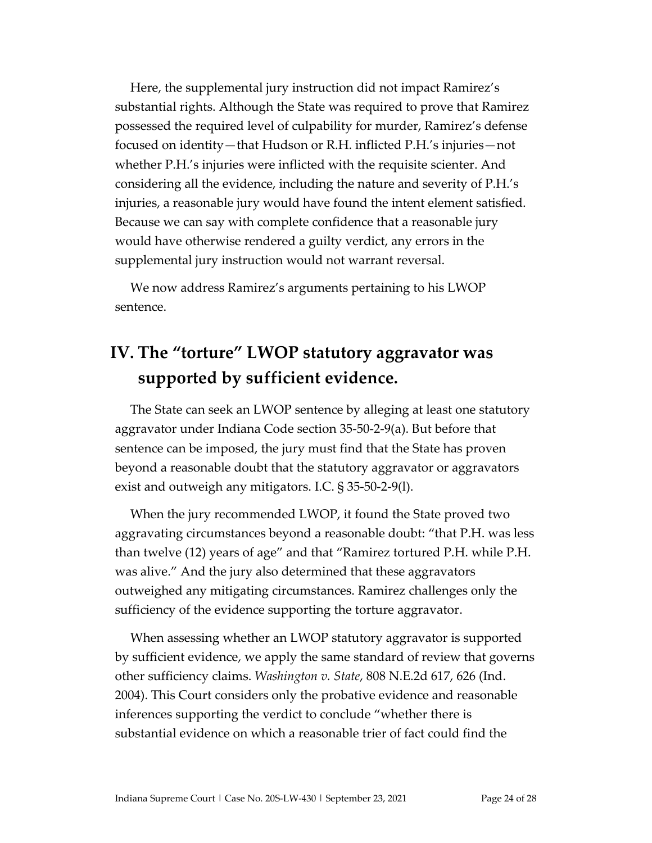Here, the supplemental jury instruction did not impact Ramirez's substantial rights. Although the State was required to prove that Ramirez possessed the required level of culpability for murder, Ramirez's defense focused on identity—that Hudson or R.H. inflicted P.H.'s injuries—not whether P.H.'s injuries were inflicted with the requisite scienter. And considering all the evidence, including the nature and severity of P.H.'s injuries, a reasonable jury would have found the intent element satisfied. Because we can say with complete confidence that a reasonable jury would have otherwise rendered a guilty verdict, any errors in the supplemental jury instruction would not warrant reversal.

We now address Ramirez's arguments pertaining to his LWOP sentence.

## **IV. The "torture" LWOP statutory aggravator was supported by sufficient evidence.**

The State can seek an LWOP sentence by alleging at least one statutory aggravator under Indiana Code section 35-50-2-9(a). But before that sentence can be imposed, the jury must find that the State has proven beyond a reasonable doubt that the statutory aggravator or aggravators exist and outweigh any mitigators. I.C. § 35-50-2-9(l).

When the jury recommended LWOP, it found the State proved two aggravating circumstances beyond a reasonable doubt: "that P.H. was less than twelve (12) years of age" and that "Ramirez tortured P.H. while P.H. was alive." And the jury also determined that these aggravators outweighed any mitigating circumstances. Ramirez challenges only the sufficiency of the evidence supporting the torture aggravator.

When assessing whether an LWOP statutory aggravator is supported by sufficient evidence, we apply the same standard of review that governs other sufficiency claims. *Washington v. State*, 808 N.E.2d 617, 626 (Ind. 2004). This Court considers only the probative evidence and reasonable inferences supporting the verdict to conclude "whether there is substantial evidence on which a reasonable trier of fact could find the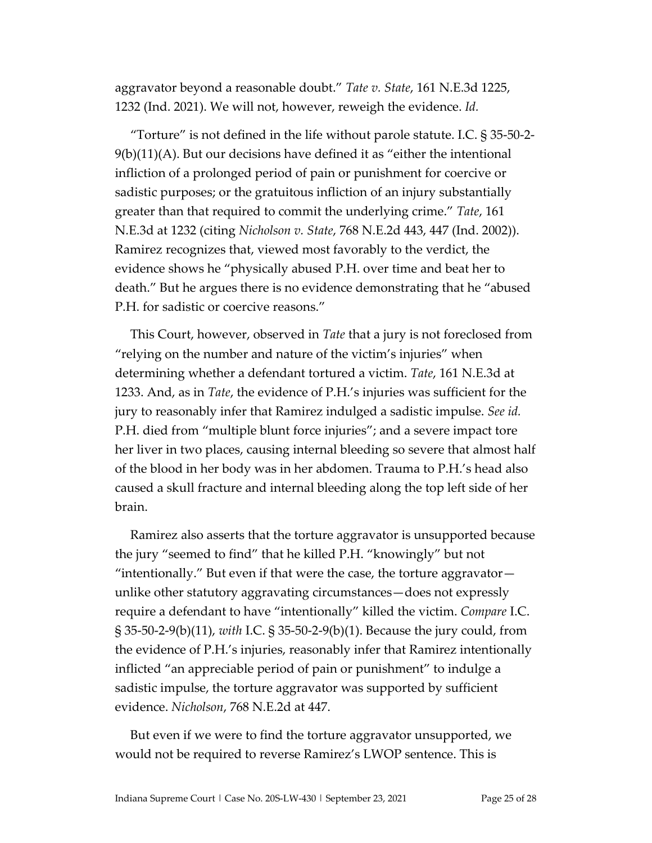aggravator beyond a reasonable doubt." *Tate v. State*, 161 N.E.3d 1225, 1232 (Ind. 2021). We will not, however, reweigh the evidence. *Id.* 

"Torture" is not defined in the life without parole statute. I.C. § 35-50-2- 9(b)(11)(A). But our decisions have defined it as "either the intentional infliction of a prolonged period of pain or punishment for coercive or sadistic purposes; or the gratuitous infliction of an injury substantially greater than that required to commit the underlying crime." *Tate*, 161 N.E.3d at 1232 (citing *Nicholson v. State*, 768 N.E.2d 443, 447 (Ind. 2002)). Ramirez recognizes that, viewed most favorably to the verdict, the evidence shows he "physically abused P.H. over time and beat her to death." But he argues there is no evidence demonstrating that he "abused P.H. for sadistic or coercive reasons."

This Court, however, observed in *Tate* that a jury is not foreclosed from "relying on the number and nature of the victim's injuries" when determining whether a defendant tortured a victim. *Tate*, 161 N.E.3d at 1233. And, as in *Tate*, the evidence of P.H.'s injuries was sufficient for the jury to reasonably infer that Ramirez indulged a sadistic impulse. *See id.* P.H. died from "multiple blunt force injuries"; and a severe impact tore her liver in two places, causing internal bleeding so severe that almost half of the blood in her body was in her abdomen. Trauma to P.H.'s head also caused a skull fracture and internal bleeding along the top left side of her brain.

Ramirez also asserts that the torture aggravator is unsupported because the jury "seemed to find" that he killed P.H. "knowingly" but not "intentionally." But even if that were the case, the torture aggravator unlike other statutory aggravating circumstances—does not expressly require a defendant to have "intentionally" killed the victim. *Compare* I.C. § 35-50-2-9(b)(11), *with* I.C. § 35-50-2-9(b)(1). Because the jury could, from the evidence of P.H.'s injuries, reasonably infer that Ramirez intentionally inflicted "an appreciable period of pain or punishment" to indulge a sadistic impulse, the torture aggravator was supported by sufficient evidence. *Nicholson*, 768 N.E.2d at 447.

But even if we were to find the torture aggravator unsupported, we would not be required to reverse Ramirez's LWOP sentence. This is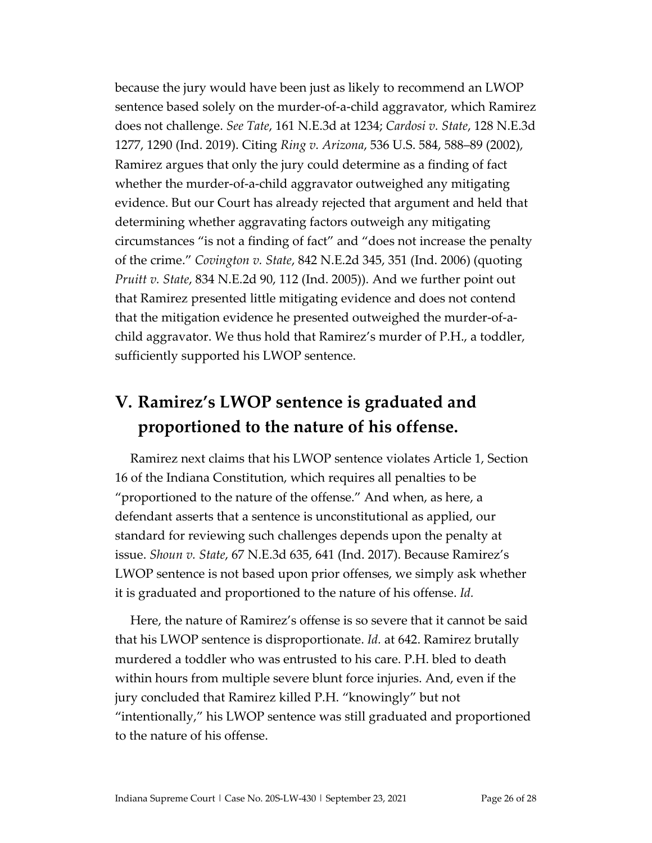because the jury would have been just as likely to recommend an LWOP sentence based solely on the murder-of-a-child aggravator, which Ramirez does not challenge. *See Tate*, 161 N.E.3d at 1234; *Cardosi v. State*, 128 N.E.3d 1277, 1290 (Ind. 2019). Citing *Ring v. Arizona*, 536 U.S. 584, 588–89 (2002), Ramirez argues that only the jury could determine as a finding of fact whether the murder-of-a-child aggravator outweighed any mitigating evidence. But our Court has already rejected that argument and held that determining whether aggravating factors outweigh any mitigating circumstances "is not a finding of fact" and "does not increase the penalty of the crime." *Covington v. State*, 842 N.E.2d 345, 351 (Ind. 2006) (quoting *Pruitt v. State*, 834 N.E.2d 90, 112 (Ind. 2005)). And we further point out that Ramirez presented little mitigating evidence and does not contend that the mitigation evidence he presented outweighed the murder-of-achild aggravator. We thus hold that Ramirez's murder of P.H., a toddler, sufficiently supported his LWOP sentence.

## **V. Ramirez's LWOP sentence is graduated and proportioned to the nature of his offense.**

Ramirez next claims that his LWOP sentence violates Article 1, Section 16 of the Indiana Constitution, which requires all penalties to be "proportioned to the nature of the offense." And when, as here, a defendant asserts that a sentence is unconstitutional as applied, our standard for reviewing such challenges depends upon the penalty at issue. *Shoun v. State*, 67 N.E.3d 635, 641 (Ind. 2017). Because Ramirez's LWOP sentence is not based upon prior offenses, we simply ask whether it is graduated and proportioned to the nature of his offense. *Id.* 

Here, the nature of Ramirez's offense is so severe that it cannot be said that his LWOP sentence is disproportionate. *Id.* at 642. Ramirez brutally murdered a toddler who was entrusted to his care. P.H. bled to death within hours from multiple severe blunt force injuries. And, even if the jury concluded that Ramirez killed P.H. "knowingly" but not "intentionally," his LWOP sentence was still graduated and proportioned to the nature of his offense.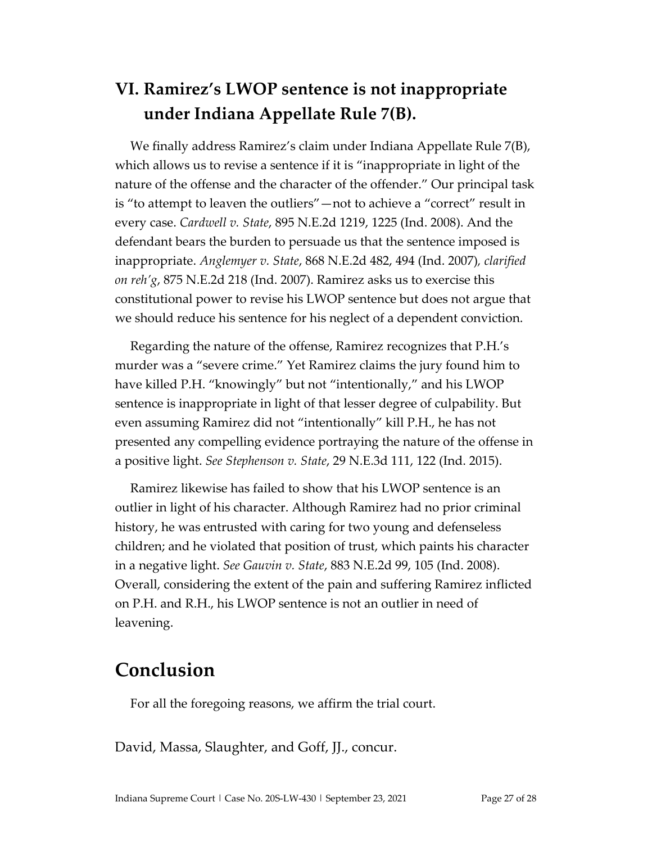# **VI. Ramirez's LWOP sentence is not inappropriate under Indiana Appellate Rule 7(B).**

We finally address Ramirez's claim under Indiana Appellate Rule 7(B), which allows us to revise a sentence if it is "inappropriate in light of the nature of the offense and the character of the offender." Our principal task is "to attempt to leaven the outliers"—not to achieve a "correct" result in every case. *Cardwell v. State*, 895 N.E.2d 1219, 1225 (Ind. 2008). And the defendant bears the burden to persuade us that the sentence imposed is inappropriate. *Anglemyer v. State*, 868 N.E.2d 482, 494 (Ind. 2007)*, clarified on reh'g*, 875 N.E.2d 218 (Ind. 2007). Ramirez asks us to exercise this constitutional power to revise his LWOP sentence but does not argue that we should reduce his sentence for his neglect of a dependent conviction.

Regarding the nature of the offense, Ramirez recognizes that P.H.'s murder was a "severe crime." Yet Ramirez claims the jury found him to have killed P.H. "knowingly" but not "intentionally," and his LWOP sentence is inappropriate in light of that lesser degree of culpability. But even assuming Ramirez did not "intentionally" kill P.H., he has not presented any compelling evidence portraying the nature of the offense in a positive light. *See Stephenson v. State*, 29 N.E.3d 111, 122 (Ind. 2015).

Ramirez likewise has failed to show that his LWOP sentence is an outlier in light of his character. Although Ramirez had no prior criminal history, he was entrusted with caring for two young and defenseless children; and he violated that position of trust, which paints his character in a negative light. *See Gauvin v. State*, 883 N.E.2d 99, 105 (Ind. 2008). Overall, considering the extent of the pain and suffering Ramirez inflicted on P.H. and R.H., his LWOP sentence is not an outlier in need of leavening.

## **Conclusion**

For all the foregoing reasons, we affirm the trial court.

David, Massa, Slaughter, and Goff, JJ., concur.